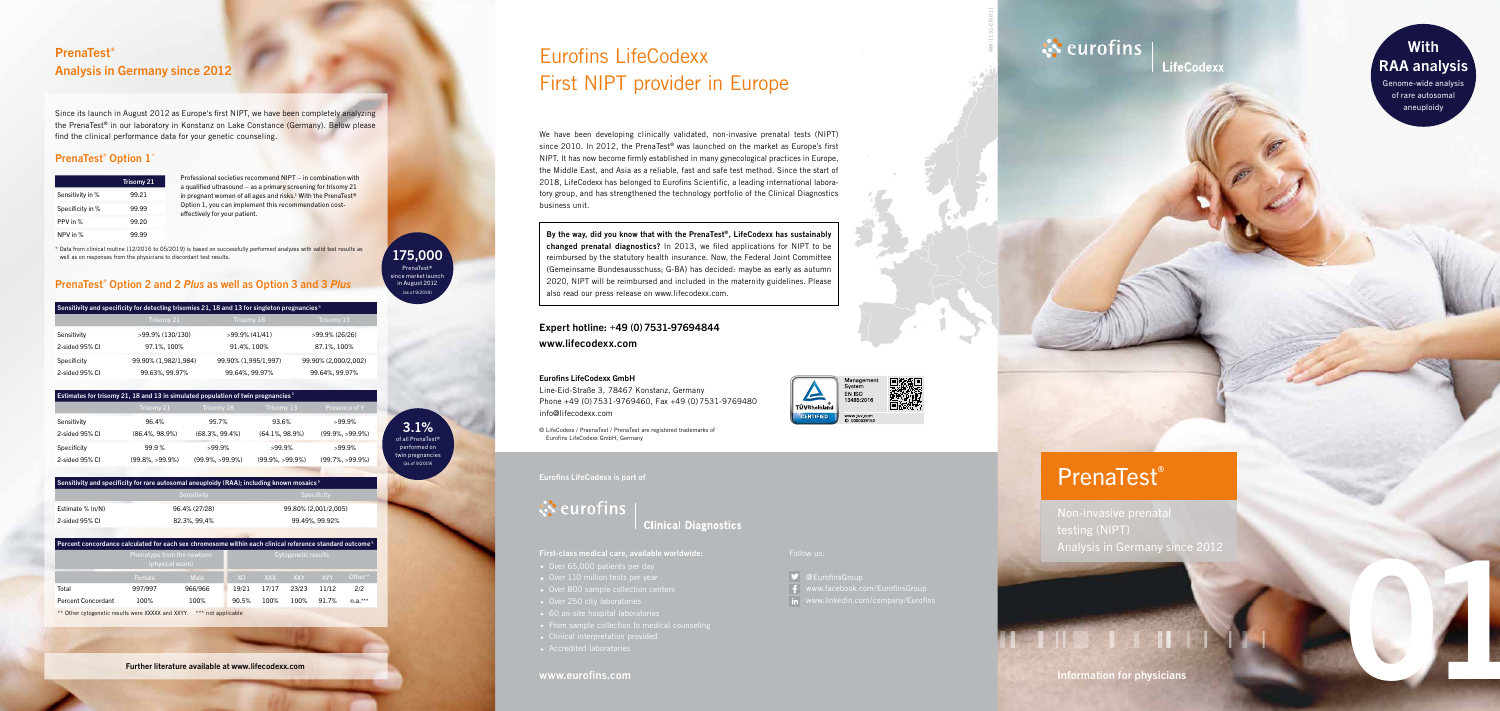## www.eurofins.com

Follow us:

@EurofinsGroup



Eurofins LifeCodexx is part of

**ं** eurofins

# **Clinical Diagnostics**

- 
- 
- 
- 
- 
- 
- 
- 

WM-1131-EN-011

**LifeCodexx** 

# PrenaTest ®

Information for physicians

testing (NIPT) Analysis in Germany since 2012

01

# Eurofins LifeCodexx First NIPT provider in Europe

### Eurofins LifeCodexx GmbH

Line-Eid-Straße 3, 78467 Konstanz, Germany Phone +49 ( 0 )7531-9769460, Fax +49 ( 0 )7531-9769480 info@lifecodexx.com

© LifeCodexx / PraenaTest / PrenaTest are registered trademarks of Eurofins LifeCodexx GmbH, Germany

# **With** RAA analysis

# **PrenaTest®** Analysis in Germany since 2012

We have been developing clinically validated, non-invasive prenatal tests (NIPT) since 2010. In 2012, the PrenaTest® was launched on the market as Europe's first NIPT. It has now become firmly established in many gynecological practices in Europe, the Middle East, and Asia as a reliable, fast and safe test method. Since the start of 2018, LifeCodexx has belonged to Eurofins Scientific, a leading international labora tory group, and has strengthened the technology portfolio of the Clinical Diagnostics business unit.

**By the way, did you know that with the PrenaTest ®, LifeCodexx has sustainably changed prenatal diagnostics?** In 2013, we filed applications for NIPT to be reimbursed by the statutory health insurance. Now, the Federal Joint Committee (Gemeinsame Bundesausschuss; G-BA) has decided: maybe as early as autumn 2020, NIPT will be reimbursed and included in the maternity guidelines. Please also read our press release on www.lifecodexx.com.

## Expert hotline: +49 ( 0 ) 7531-97694844 www.lifecodexx.com

Genome-wide analysis of rare autosomal aneuploidy

## PrenaTest ® Option 2 and 2 *Plus* as well as Option 3 and 3 *Plus*

|                  | <b>Trisomy 21</b> |
|------------------|-------------------|
| Sensitivity in % | 99.21             |
| Specificity in % | 99.99             |
| PPV in %         | 99.20             |
| NPV in %         |                   |

| Sensitivity and specificity for detecting trisomies 21, 18 and 13 for singleton pregnancies <sup>5</sup> |                      |                      |                      |  |  |
|----------------------------------------------------------------------------------------------------------|----------------------|----------------------|----------------------|--|--|
|                                                                                                          | Trisomy 21           | Trisomy 18           | Trisomy 13           |  |  |
| Sensitivity                                                                                              | >99.9% (130/130)     | >99.9% (41/41)       | >99.9% (26/26)       |  |  |
| 2-sided 95% CI                                                                                           | 97.1%, 100%          | 91.4%, 100%          | 87.1%, 100%          |  |  |
| Specificity                                                                                              | 99.90% (1,982/1,984) | 99.90% (1,995/1,997) | 99.90% (2,000/2,002) |  |  |
| 2-sided 95% CI                                                                                           | 99.63%, 99.97%       | 99.64%, 99.97%       | 99.64%, 99.97%       |  |  |

## Estimates for trisomy 21, 18 and 13 in simulated population of twin pregnancies 5 Sensitivity 96.4% 95.7% 93.6% >99.9% 2-sided 95% CI (86.4%, 98.9%) (68.3%, 99.4%) (64.1%, 98.9%) (99.9%, >99.9%) Specificity 99.9 % >99.9% >99.9% >99.9% 2-sided 95% CI (99.8%, >99.9%) (99.9%, >99.9%) (99.9%, >99.9%) (99.7%, >99.9%)

## Sensitivity and specificity for rare autosomal aneuploidy (RAA); including known mosaics  $5$

|                    | <b>JUISILIVILY</b> | <b>ODGUITURY</b>     |  |
|--------------------|--------------------|----------------------|--|
| Estimate $% (n/N)$ | 96.4% (27/28)      | 99.80% (2,001/2,005) |  |
| 2-sided 95% CI     | 82.3%. 99.4%       | 99.49%, 99.92%       |  |
|                    |                    |                      |  |

| $\,$ Percent concordance calculated for each sex chromosome within each clinical reference standard outcome $^5$ |                                               |         |                     |       |            |            |           |
|------------------------------------------------------------------------------------------------------------------|-----------------------------------------------|---------|---------------------|-------|------------|------------|-----------|
|                                                                                                                  | Phenotype from the newborn<br>(physical exam) |         | Cytogenetic results |       |            |            |           |
|                                                                                                                  | <b>Female</b>                                 | Male    | <b>XO</b>           | XXX   | <b>XXY</b> | <b>XYY</b> | Other**   |
| Total                                                                                                            | 997/997                                       | 966/966 | 19/21               | 17/17 | 23/23      | 11/12      | 2/2       |
| Percent Concordant                                                                                               | 100%                                          | 100%    | 90.5%               | 100%  | 100%       | 91.7%      | $n.a.***$ |
|                                                                                                                  |                                               |         |                     |       |            |            |           |

\*\* Other cytogenetic results were XXXXX and XXYY. \*\*\* not applicable

Professional societies recommend NIPT – in combination with a qualified ultrasound – as a primary screening for trisomy  $21$ in pregnant women of all ages and risks.<sup>1</sup> With the PrenaTest® Option 1, you can implement this recommendation costeffectively for your patient.

Since its launch in August 2012 as Europe's first NIPT, we have been completely analyzing the PrenaTest® in our laboratory in Konstanz on Lake Constance (Germany). Below please find the clinical performance data for your genetic counseling.

## PrenaTest<sup>®</sup> Option 1<sup>\*</sup>

**175,000** PrenaTest® since market launch in August 2012 (as of 9/2019)

\* Data from clinical routine (12/2016 to 05/2019) is based on successfully performed analyzes with valid test results as well as on responses from the physicians to discordant test results.

> **3.1%** of all PrenaTest®

performed on twin pregnancies (as of 9/2019)







Further literature available at www.lifecodexx.com